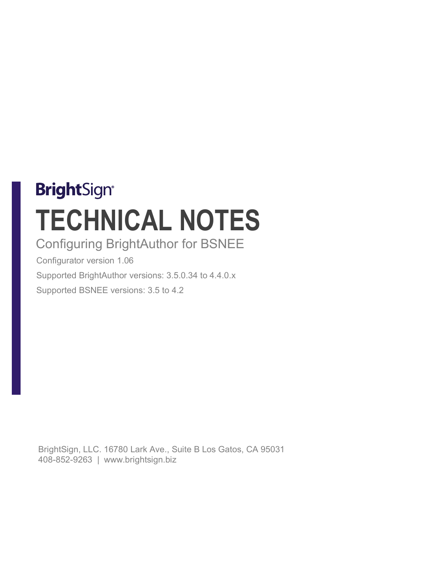# **BrightSign® TECHNICAL NOTES**

# Configuring BrightAuthor for BSNEE

Configurator version 1.06 Supported BrightAuthor versions: 3.5.0.34 to 4.4.0.x Supported BSNEE versions: 3.5 to 4.2

BrightSign, LLC. 16780 Lark Ave., Suite B Los Gatos, CA 95031 408-852-9263 | www.brightsign.biz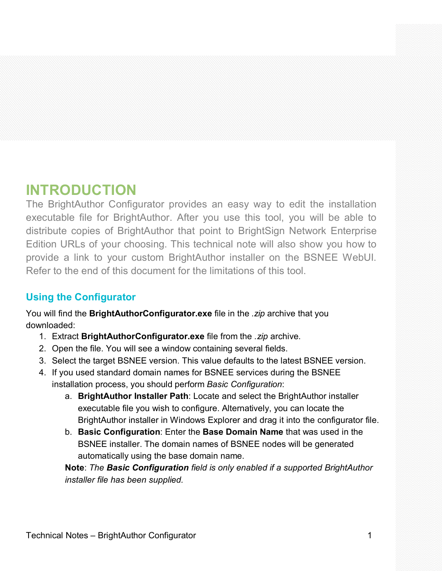# **INTRODUCTION**

The BrightAuthor Configurator provides an easy way to edit the installation executable file for BrightAuthor. After you use this tool, you will be able to distribute copies of BrightAuthor that point to BrightSign Network Enterprise Edition URLs of your choosing. This technical note will also show you how to provide a link to your custom BrightAuthor installer on the BSNEE WebUI. Refer to the end of this document for the limitations of this tool.

## **Using the Configurator**

You will find the **BrightAuthorConfigurator.exe** file in the *.zip* archive that you downloaded:

- 1. Extract **BrightAuthorConfigurator.exe** file from the *.zip* archive.
- 2. Open the file. You will see a window containing several fields.
- 3. Select the target BSNEE version. This value defaults to the latest BSNEE version.
- 4. If you used standard domain names for BSNEE services during the BSNEE installation process, you should perform *Basic Configuration*:
	- a. **BrightAuthor Installer Path**: Locate and select the BrightAuthor installer executable file you wish to configure. Alternatively, you can locate the BrightAuthor installer in Windows Explorer and drag it into the configurator file.
	- b. **Basic Configuration**: Enter the **Base Domain Name** that was used in the BSNEE installer. The domain names of BSNEE nodes will be generated automatically using the base domain name.

**Note**: *The Basic Configuration field is only enabled if a supported BrightAuthor installer file has been supplied.*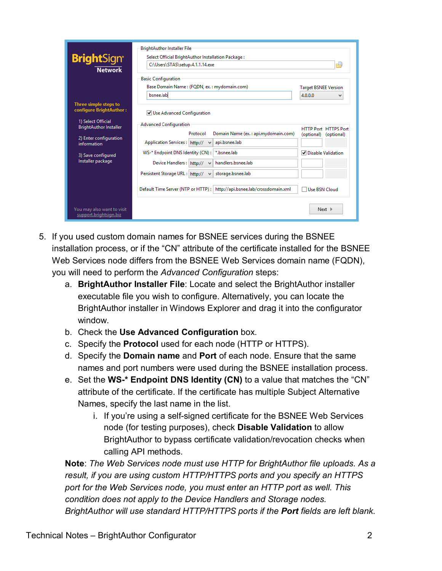| <b>Bright</b> Sign <sup>®</sup><br><b>Network</b>                                                       | <b>BrightAuthor Installer File</b><br>Select Official BrightAuthor Installation Package:<br>C:\Users\STAS\setup.4.1.1.14.exe                                                           | 甴                                           |
|---------------------------------------------------------------------------------------------------------|----------------------------------------------------------------------------------------------------------------------------------------------------------------------------------------|---------------------------------------------|
|                                                                                                         | <b>Basic Configuration</b><br>Base Domain Name: (FQDN, ex.: mydomain.com)<br>bsnee.lab                                                                                                 | <b>Target BSNEE Version</b><br>4.0.0.0<br>v |
| Three simple steps to<br>configure BrightAuthor:<br>1) Select Official<br><b>BrightAuthor Installer</b> | Use Advanced Configuration<br><b>Advanced Configuration</b>                                                                                                                            | <b>HTTP Port HTTPS Port</b>                 |
| 2) Enter configuration<br>information                                                                   | Protocol<br>Domain Name (ex.: api.mydomain.com)<br>api.bsnee.lab<br>Application Services: http://<br>$\checkmark$<br>*.bsnee.lab                                                       | (optional) (optional)                       |
| 3) Save configured<br>Installer package                                                                 | WS-* Endpoint DNS Identity (CN):<br>handlers.bsnee.lab<br>Device Handlers: http://<br>$\checkmark$<br>storage.bsnee.lab<br>Persistent Storage URL: http://<br>$\overline{\phantom{a}}$ | <b>▽</b> Disable Validation                 |
|                                                                                                         | Default Time Server (NTP or HTTP):<br>http://api.bsnee.lab/crossdomain.xml                                                                                                             | Use BSN Cloud                               |
| You may also want to visit<br>support.brightsign.biz                                                    |                                                                                                                                                                                        | Next                                        |

- 5. If you used custom domain names for BSNEE services during the BSNEE installation process, or if the "CN" attribute of the certificate installed for the BSNEE Web Services node differs from the BSNEE Web Services domain name (FQDN), you will need to perform the *Advanced Configuration* steps:
	- a. **BrightAuthor Installer File**: Locate and select the BrightAuthor installer executable file you wish to configure. Alternatively, you can locate the BrightAuthor installer in Windows Explorer and drag it into the configurator window.
	- b. Check the **Use Advanced Configuration** box.
	- c. Specify the **Protocol** used for each node (HTTP or HTTPS).
	- d. Specify the **Domain name** and **Port** of each node. Ensure that the same names and port numbers were used during the BSNEE installation process.
	- e. Set the **WS-\* Endpoint DNS Identity (CN)** to a value that matches the "CN" attribute of the certificate. If the certificate has multiple Subject Alternative Names, specify the last name in the list.
		- i. If you're using a self-signed certificate for the BSNEE Web Services node (for testing purposes), check **Disable Validation** to allow BrightAuthor to bypass certificate validation/revocation checks when calling API methods.

**Note**: *The Web Services node must use HTTP for BrightAuthor file uploads. As a result, if you are using custom HTTP/HTTPS ports and you specify an HTTPS port for the Web Services node, you must enter an HTTP port as well. This condition does not apply to the Device Handlers and Storage nodes. BrightAuthor will use standard HTTP/HTTPS ports if the Port fields are left blank.*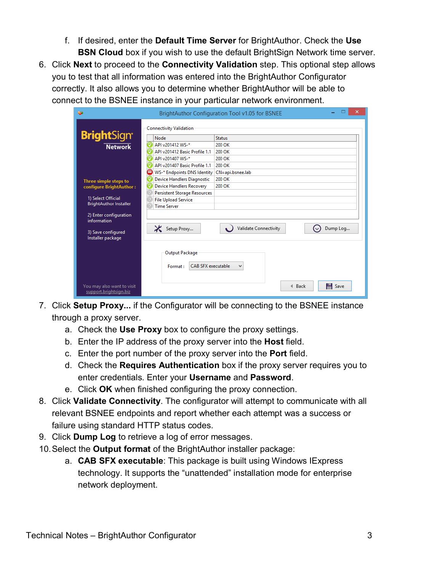- f. If desired, enter the **Default Time Server** for BrightAuthor. Check the **Use BSN Cloud** box if you wish to use the default BrightSign Network time server.
- 6. Click **Next** to proceed to the **Connectivity Validation** step. This optional step allows you to test that all information was entered into the BrightAuthor Configurator correctly. It also allows you to determine whether BrightAuthor will be able to connect to the BSNEE instance in your particular network environment.

| æ                                                    | ×<br>BrightAuthor Configuration Tool v1.05 for BSNEE |
|------------------------------------------------------|------------------------------------------------------|
|                                                      | <b>Connectivity Validation</b>                       |
| <b>Bright</b> Sign®                                  | Node<br><b>Status</b>                                |
| <b>Network</b>                                       | API v201412 WS-*<br>200 OK                           |
|                                                      | API v201412 Basic Profile 1.1<br>200 OK              |
|                                                      | API v201407 WS-*<br>200 OK                           |
|                                                      | API v201407 Basic Profile 1.1<br>200 OK              |
|                                                      | WS-* Endpoints DNS Identity   CN=api.bsnee.lab       |
| Three simple steps to                                | 200 OK<br><b>Device Handlers Diagnostic</b>          |
| configure BrightAuthor:                              | <b>Device Handlers Recovery</b><br>200 OK            |
|                                                      | <b>Persistent Storage Resources</b>                  |
| 1) Select Official                                   | <b>File Upload Service</b>                           |
| <b>BrightAuthor Installer</b>                        | T<br><b>Time Server</b>                              |
| 2) Enter configuration<br>information                |                                                      |
| 3) Save configured<br>Installer package              | Validate Connectivity<br>Setup Proxy<br>Dump Log     |
|                                                      | Output Package                                       |
|                                                      | <b>CAB SFX executable</b><br>Format:<br>٧            |
| You may also want to visit<br>support.brightsign.biz | H Save<br>4 Back                                     |

- 7. Click **Setup Proxy...** if the Configurator will be connecting to the BSNEE instance through a proxy server.
	- a. Check the **Use Proxy** box to configure the proxy settings.
	- b. Enter the IP address of the proxy server into the **Host** field.
	- c. Enter the port number of the proxy server into the **Port** field.
	- d. Check the **Requires Authentication** box if the proxy server requires you to enter credentials. Enter your **Username** and **Password**.
	- e. Click **OK** when finished configuring the proxy connection.
- 8. Click **Validate Connectivity**. The configurator will attempt to communicate with all relevant BSNEE endpoints and report whether each attempt was a success or failure using standard HTTP status codes.
- 9. Click **Dump Log** to retrieve a log of error messages.
- 10.Select the **Output format** of the BrightAuthor installer package:
	- a. **CAB SFX executable**: This package is built using Windows IExpress technology. It supports the "unattended" installation mode for enterprise network deployment.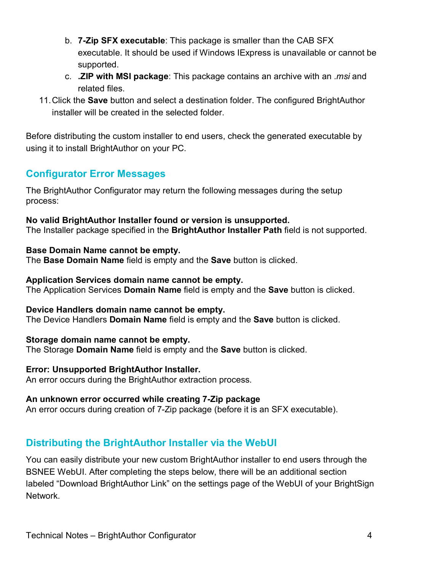- b. **7-Zip SFX executable**: This package is smaller than the CAB SFX executable. It should be used if Windows IExpress is unavailable or cannot be supported.
- c. **.ZIP with MSI package**: This package contains an archive with an *.msi* and related files.
- 11.Click the **Save** button and select a destination folder. The configured BrightAuthor installer will be created in the selected folder.

Before distributing the custom installer to end users, check the generated executable by using it to install BrightAuthor on your PC.

## **Configurator Error Messages**

The BrightAuthor Configurator may return the following messages during the setup process:

# **No valid BrightAuthor Installer found or version is unsupported.**

The Installer package specified in the **BrightAuthor Installer Path** field is not supported.

#### **Base Domain Name cannot be empty.**

The **Base Domain Name** field is empty and the **Save** button is clicked.

#### **Application Services domain name cannot be empty.**

The Application Services **Domain Name** field is empty and the **Save** button is clicked.

#### **Device Handlers domain name cannot be empty.**

The Device Handlers **Domain Name** field is empty and the **Save** button is clicked.

#### **Storage domain name cannot be empty.**

The Storage **Domain Name** field is empty and the **Save** button is clicked.

#### **Error: Unsupported BrightAuthor Installer.**

An error occurs during the BrightAuthor extraction process.

#### **An unknown error occurred while creating 7-Zip package**

An error occurs during creation of 7-Zip package (before it is an SFX executable).

## **Distributing the BrightAuthor Installer via the WebUI**

You can easily distribute your new custom BrightAuthor installer to end users through the BSNEE WebUI. After completing the steps below, there will be an additional section labeled "Download BrightAuthor Link" on the settings page of the WebUI of your BrightSign Network.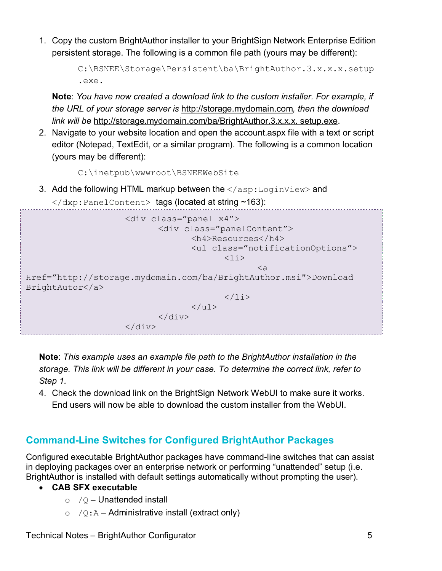1. Copy the custom BrightAuthor installer to your BrightSign Network Enterprise Edition persistent storage. The following is a common file path (yours may be different):

```
C:\BSNEE\Storage\Persistent\ba\BrightAuthor.3.x.x.x.setup
.exe.
```
**Note**: *You have now created a download link to the custom installer. For example, if the URL of your storage server is* http://storage.mydomain.com*, then the download link will be* http://storage.mydomain.com/ba/BrightAuthor.3. x.x.x. setup.exe.

2. Navigate to your website location and open the account.aspx file with a text or script editor (Notepad, TextEdit, or a similar program). The following is a common location (yours may be different):

C:\inetpub\wwwroot\BSNEEWebSite

3. Add the following HTML markup between the  $\langle$ /asp:LoginView> and </dxp:PanelContent> tags (located at string ~163):



**Note**: *This example uses an example file path to the BrightAuthor installation in the storage. This link will be different in your case. To determine the correct link, refer to Step 1.*

4. Check the download link on the BrightSign Network WebUI to make sure it works. End users will now be able to download the custom installer from the WebUI.

## **Command-Line Switches for Configured BrightAuthor Packages**

Configured executable BrightAuthor packages have command-line switches that can assist in deploying packages over an enterprise network or performing "unattended" setup (i.e. BrightAuthor is installed with default settings automatically without prompting the user).

#### • **CAB SFX executable**

- $\circ$  / $\circ$  Unattended install
- $\circ$  /Q:A Administrative install (extract only)

Technical Notes – BrightAuthor Configurator 5